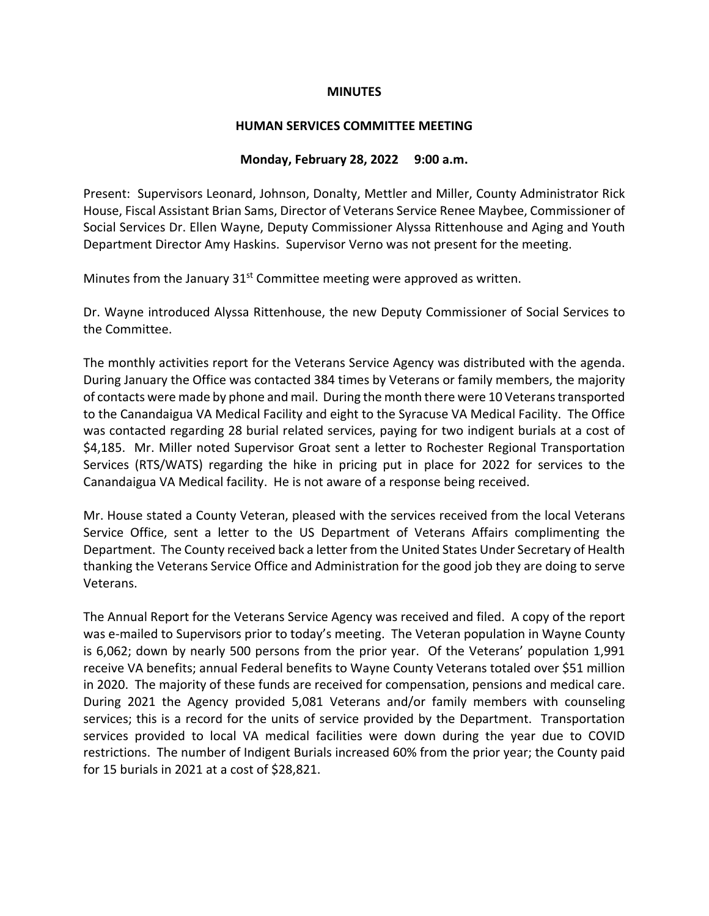#### **MINUTES**

#### **HUMAN SERVICES COMMITTEE MEETING**

### **Monday, February 28, 2022 9:00 a.m.**

Present: Supervisors Leonard, Johnson, Donalty, Mettler and Miller, County Administrator Rick House, Fiscal Assistant Brian Sams, Director of Veterans Service Renee Maybee, Commissioner of Social Services Dr. Ellen Wayne, Deputy Commissioner Alyssa Rittenhouse and Aging and Youth Department Director Amy Haskins. Supervisor Verno was not present for the meeting.

Minutes from the January  $31<sup>st</sup>$  Committee meeting were approved as written.

Dr. Wayne introduced Alyssa Rittenhouse, the new Deputy Commissioner of Social Services to the Committee.

The monthly activities report for the Veterans Service Agency was distributed with the agenda. During January the Office was contacted 384 times by Veterans or family members, the majority of contacts were made by phone and mail. During the month there were 10 Veterans transported to the Canandaigua VA Medical Facility and eight to the Syracuse VA Medical Facility. The Office was contacted regarding 28 burial related services, paying for two indigent burials at a cost of \$4,185. Mr. Miller noted Supervisor Groat sent a letter to Rochester Regional Transportation Services (RTS/WATS) regarding the hike in pricing put in place for 2022 for services to the Canandaigua VA Medical facility. He is not aware of a response being received.

Mr. House stated a County Veteran, pleased with the services received from the local Veterans Service Office, sent a letter to the US Department of Veterans Affairs complimenting the Department. The County received back a letter from the United States Under Secretary of Health thanking the Veterans Service Office and Administration for the good job they are doing to serve Veterans.

The Annual Report for the Veterans Service Agency was received and filed. A copy of the report was e-mailed to Supervisors prior to today's meeting. The Veteran population in Wayne County is 6,062; down by nearly 500 persons from the prior year. Of the Veterans' population 1,991 receive VA benefits; annual Federal benefits to Wayne County Veterans totaled over \$51 million in 2020. The majority of these funds are received for compensation, pensions and medical care. During 2021 the Agency provided 5,081 Veterans and/or family members with counseling services; this is a record for the units of service provided by the Department. Transportation services provided to local VA medical facilities were down during the year due to COVID restrictions. The number of Indigent Burials increased 60% from the prior year; the County paid for 15 burials in 2021 at a cost of \$28,821.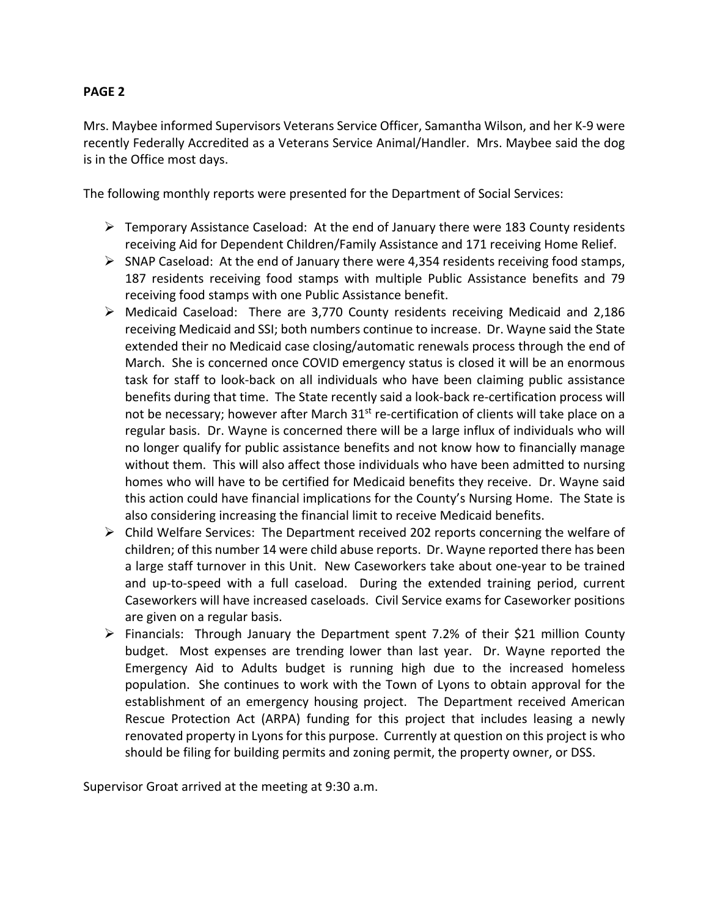Mrs. Maybee informed Supervisors Veterans Service Officer, Samantha Wilson, and her K-9 were recently Federally Accredited as a Veterans Service Animal/Handler. Mrs. Maybee said the dog is in the Office most days.

The following monthly reports were presented for the Department of Social Services:

- $\triangleright$  Temporary Assistance Caseload: At the end of January there were 183 County residents receiving Aid for Dependent Children/Family Assistance and 171 receiving Home Relief.
- $\triangleright$  SNAP Caseload: At the end of January there were 4,354 residents receiving food stamps, 187 residents receiving food stamps with multiple Public Assistance benefits and 79 receiving food stamps with one Public Assistance benefit.
- $\triangleright$  Medicaid Caseload: There are 3,770 County residents receiving Medicaid and 2,186 receiving Medicaid and SSI; both numbers continue to increase. Dr. Wayne said the State extended their no Medicaid case closing/automatic renewals process through the end of March. She is concerned once COVID emergency status is closed it will be an enormous task for staff to look-back on all individuals who have been claiming public assistance benefits during that time. The State recently said a look-back re-certification process will not be necessary; however after March 31<sup>st</sup> re-certification of clients will take place on a regular basis. Dr. Wayne is concerned there will be a large influx of individuals who will no longer qualify for public assistance benefits and not know how to financially manage without them. This will also affect those individuals who have been admitted to nursing homes who will have to be certified for Medicaid benefits they receive. Dr. Wayne said this action could have financial implications for the County's Nursing Home. The State is also considering increasing the financial limit to receive Medicaid benefits.
- $\triangleright$  Child Welfare Services: The Department received 202 reports concerning the welfare of children; of this number 14 were child abuse reports. Dr. Wayne reported there has been a large staff turnover in this Unit. New Caseworkers take about one-year to be trained and up-to-speed with a full caseload. During the extended training period, current Caseworkers will have increased caseloads. Civil Service exams for Caseworker positions are given on a regular basis.
- $\triangleright$  Financials: Through January the Department spent 7.2% of their \$21 million County budget. Most expenses are trending lower than last year. Dr. Wayne reported the Emergency Aid to Adults budget is running high due to the increased homeless population. She continues to work with the Town of Lyons to obtain approval for the establishment of an emergency housing project. The Department received American Rescue Protection Act (ARPA) funding for this project that includes leasing a newly renovated property in Lyons for this purpose. Currently at question on this project is who should be filing for building permits and zoning permit, the property owner, or DSS.

Supervisor Groat arrived at the meeting at 9:30 a.m.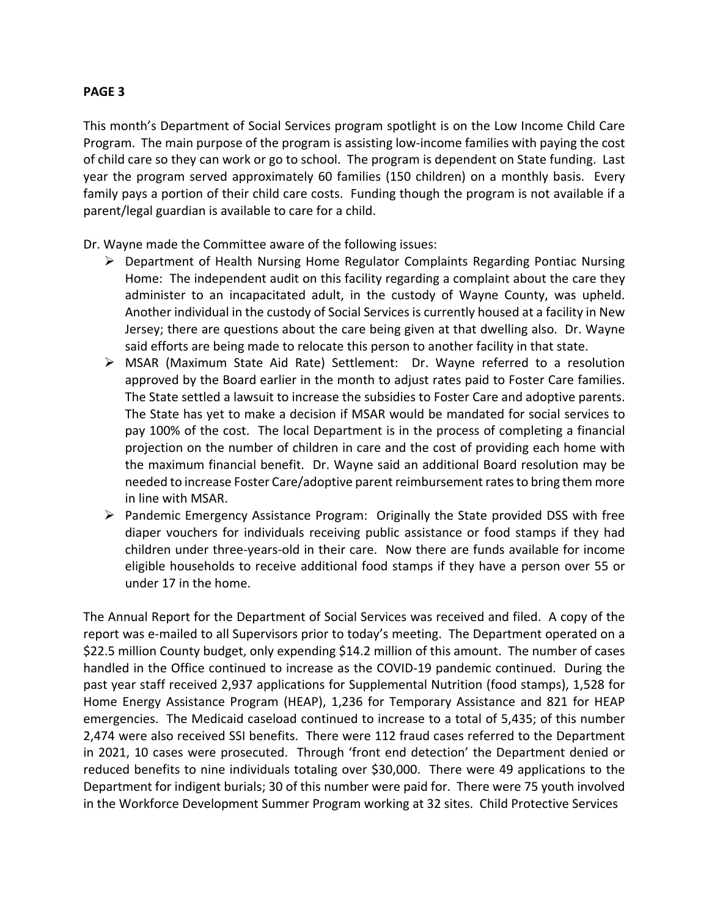This month's Department of Social Services program spotlight is on the Low Income Child Care Program. The main purpose of the program is assisting low-income families with paying the cost of child care so they can work or go to school. The program is dependent on State funding. Last year the program served approximately 60 families (150 children) on a monthly basis. Every family pays a portion of their child care costs. Funding though the program is not available if a parent/legal guardian is available to care for a child.

Dr. Wayne made the Committee aware of the following issues:

- Department of Health Nursing Home Regulator Complaints Regarding Pontiac Nursing Home: The independent audit on this facility regarding a complaint about the care they administer to an incapacitated adult, in the custody of Wayne County, was upheld. Another individual in the custody of Social Services is currently housed at a facility in New Jersey; there are questions about the care being given at that dwelling also. Dr. Wayne said efforts are being made to relocate this person to another facility in that state.
- $\triangleright$  MSAR (Maximum State Aid Rate) Settlement: Dr. Wayne referred to a resolution approved by the Board earlier in the month to adjust rates paid to Foster Care families. The State settled a lawsuit to increase the subsidies to Foster Care and adoptive parents. The State has yet to make a decision if MSAR would be mandated for social services to pay 100% of the cost. The local Department is in the process of completing a financial projection on the number of children in care and the cost of providing each home with the maximum financial benefit. Dr. Wayne said an additional Board resolution may be needed to increase Foster Care/adoptive parent reimbursement rates to bring them more in line with MSAR.
- $\triangleright$  Pandemic Emergency Assistance Program: Originally the State provided DSS with free diaper vouchers for individuals receiving public assistance or food stamps if they had children under three-years-old in their care. Now there are funds available for income eligible households to receive additional food stamps if they have a person over 55 or under 17 in the home.

The Annual Report for the Department of Social Services was received and filed. A copy of the report was e-mailed to all Supervisors prior to today's meeting. The Department operated on a \$22.5 million County budget, only expending \$14.2 million of this amount. The number of cases handled in the Office continued to increase as the COVID-19 pandemic continued. During the past year staff received 2,937 applications for Supplemental Nutrition (food stamps), 1,528 for Home Energy Assistance Program (HEAP), 1,236 for Temporary Assistance and 821 for HEAP emergencies. The Medicaid caseload continued to increase to a total of 5,435; of this number 2,474 were also received SSI benefits. There were 112 fraud cases referred to the Department in 2021, 10 cases were prosecuted. Through 'front end detection' the Department denied or reduced benefits to nine individuals totaling over \$30,000. There were 49 applications to the Department for indigent burials; 30 of this number were paid for. There were 75 youth involved in the Workforce Development Summer Program working at 32 sites. Child Protective Services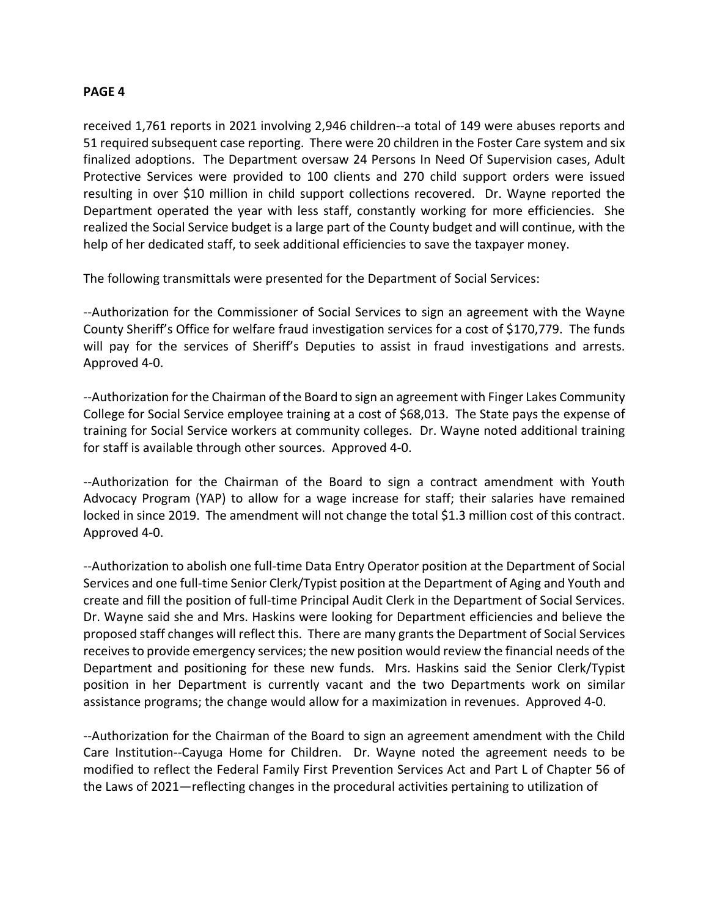received 1,761 reports in 2021 involving 2,946 children--a total of 149 were abuses reports and 51 required subsequent case reporting. There were 20 children in the Foster Care system and six finalized adoptions. The Department oversaw 24 Persons In Need Of Supervision cases, Adult Protective Services were provided to 100 clients and 270 child support orders were issued resulting in over \$10 million in child support collections recovered. Dr. Wayne reported the Department operated the year with less staff, constantly working for more efficiencies. She realized the Social Service budget is a large part of the County budget and will continue, with the help of her dedicated staff, to seek additional efficiencies to save the taxpayer money.

The following transmittals were presented for the Department of Social Services:

--Authorization for the Commissioner of Social Services to sign an agreement with the Wayne County Sheriff's Office for welfare fraud investigation services for a cost of \$170,779. The funds will pay for the services of Sheriff's Deputies to assist in fraud investigations and arrests. Approved 4-0.

--Authorization for the Chairman of the Board to sign an agreement with Finger Lakes Community College for Social Service employee training at a cost of \$68,013. The State pays the expense of training for Social Service workers at community colleges. Dr. Wayne noted additional training for staff is available through other sources. Approved 4-0.

--Authorization for the Chairman of the Board to sign a contract amendment with Youth Advocacy Program (YAP) to allow for a wage increase for staff; their salaries have remained locked in since 2019. The amendment will not change the total \$1.3 million cost of this contract. Approved 4-0.

--Authorization to abolish one full-time Data Entry Operator position at the Department of Social Services and one full-time Senior Clerk/Typist position at the Department of Aging and Youth and create and fill the position of full-time Principal Audit Clerk in the Department of Social Services. Dr. Wayne said she and Mrs. Haskins were looking for Department efficiencies and believe the proposed staff changes will reflect this. There are many grants the Department of Social Services receives to provide emergency services; the new position would review the financial needs of the Department and positioning for these new funds. Mrs. Haskins said the Senior Clerk/Typist position in her Department is currently vacant and the two Departments work on similar assistance programs; the change would allow for a maximization in revenues. Approved 4-0.

--Authorization for the Chairman of the Board to sign an agreement amendment with the Child Care Institution--Cayuga Home for Children. Dr. Wayne noted the agreement needs to be modified to reflect the Federal Family First Prevention Services Act and Part L of Chapter 56 of the Laws of 2021—reflecting changes in the procedural activities pertaining to utilization of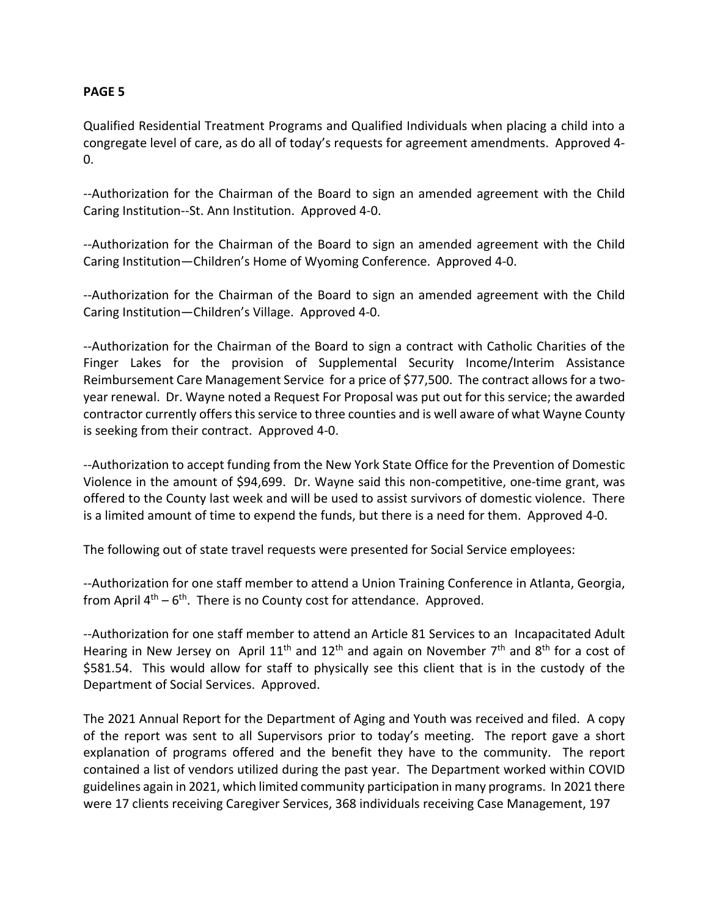Qualified Residential Treatment Programs and Qualified Individuals when placing a child into a congregate level of care, as do all of today's requests for agreement amendments. Approved 4- 0.

--Authorization for the Chairman of the Board to sign an amended agreement with the Child Caring Institution--St. Ann Institution. Approved 4-0.

--Authorization for the Chairman of the Board to sign an amended agreement with the Child Caring Institution—Children's Home of Wyoming Conference. Approved 4-0.

--Authorization for the Chairman of the Board to sign an amended agreement with the Child Caring Institution—Children's Village. Approved 4-0.

--Authorization for the Chairman of the Board to sign a contract with Catholic Charities of the Finger Lakes for the provision of Supplemental Security Income/Interim Assistance Reimbursement Care Management Service for a price of \$77,500. The contract allows for a twoyear renewal. Dr. Wayne noted a Request For Proposal was put out for this service; the awarded contractor currently offers this service to three counties and is well aware of what Wayne County is seeking from their contract. Approved 4-0.

--Authorization to accept funding from the New York State Office for the Prevention of Domestic Violence in the amount of \$94,699. Dr. Wayne said this non-competitive, one-time grant, was offered to the County last week and will be used to assist survivors of domestic violence. There is a limited amount of time to expend the funds, but there is a need for them. Approved 4-0.

The following out of state travel requests were presented for Social Service employees:

--Authorization for one staff member to attend a Union Training Conference in Atlanta, Georgia, from April  $4<sup>th</sup> - 6<sup>th</sup>$ . There is no County cost for attendance. Approved.

--Authorization for one staff member to attend an Article 81 Services to an Incapacitated Adult Hearing in New Jersey on April  $11<sup>th</sup>$  and  $12<sup>th</sup>$  and again on November 7<sup>th</sup> and 8<sup>th</sup> for a cost of \$581.54. This would allow for staff to physically see this client that is in the custody of the Department of Social Services. Approved.

The 2021 Annual Report for the Department of Aging and Youth was received and filed. A copy of the report was sent to all Supervisors prior to today's meeting. The report gave a short explanation of programs offered and the benefit they have to the community. The report contained a list of vendors utilized during the past year. The Department worked within COVID guidelines again in 2021, which limited community participation in many programs. In 2021 there were 17 clients receiving Caregiver Services, 368 individuals receiving Case Management, 197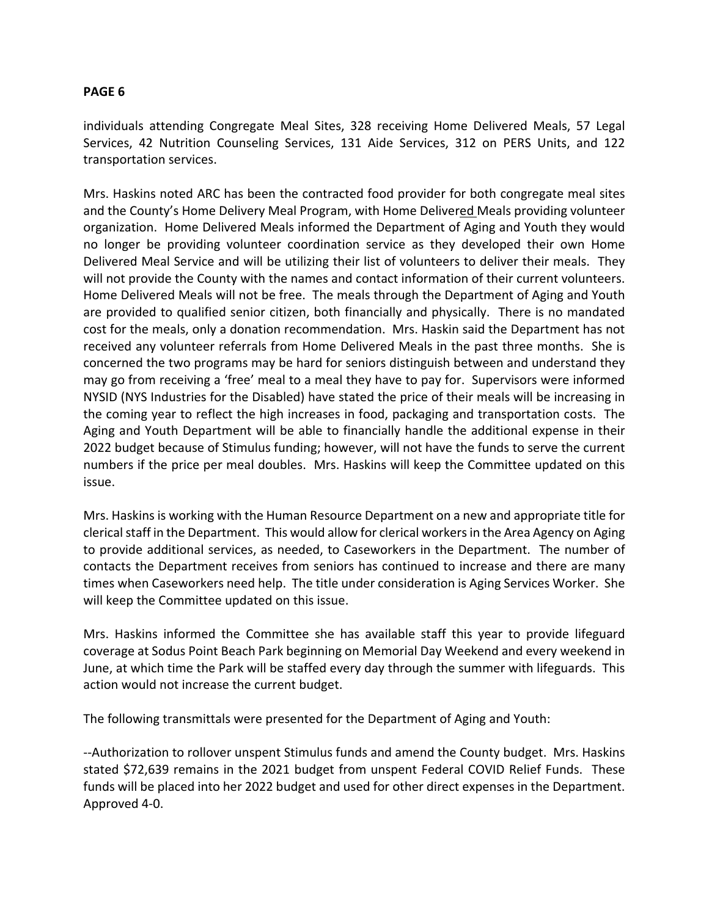individuals attending Congregate Meal Sites, 328 receiving Home Delivered Meals, 57 Legal Services, 42 Nutrition Counseling Services, 131 Aide Services, 312 on PERS Units, and 122 transportation services.

Mrs. Haskins noted ARC has been the contracted food provider for both congregate meal sites and the County's Home Delivery Meal Program, with Home Delivered Meals providing volunteer organization. Home Delivered Meals informed the Department of Aging and Youth they would no longer be providing volunteer coordination service as they developed their own Home Delivered Meal Service and will be utilizing their list of volunteers to deliver their meals. They will not provide the County with the names and contact information of their current volunteers. Home Delivered Meals will not be free. The meals through the Department of Aging and Youth are provided to qualified senior citizen, both financially and physically. There is no mandated cost for the meals, only a donation recommendation. Mrs. Haskin said the Department has not received any volunteer referrals from Home Delivered Meals in the past three months. She is concerned the two programs may be hard for seniors distinguish between and understand they may go from receiving a 'free' meal to a meal they have to pay for. Supervisors were informed NYSID (NYS Industries for the Disabled) have stated the price of their meals will be increasing in the coming year to reflect the high increases in food, packaging and transportation costs. The Aging and Youth Department will be able to financially handle the additional expense in their 2022 budget because of Stimulus funding; however, will not have the funds to serve the current numbers if the price per meal doubles. Mrs. Haskins will keep the Committee updated on this issue.

Mrs. Haskins is working with the Human Resource Department on a new and appropriate title for clerical staff in the Department. This would allow for clerical workers in the Area Agency on Aging to provide additional services, as needed, to Caseworkers in the Department. The number of contacts the Department receives from seniors has continued to increase and there are many times when Caseworkers need help. The title under consideration is Aging Services Worker. She will keep the Committee updated on this issue.

Mrs. Haskins informed the Committee she has available staff this year to provide lifeguard coverage at Sodus Point Beach Park beginning on Memorial Day Weekend and every weekend in June, at which time the Park will be staffed every day through the summer with lifeguards. This action would not increase the current budget.

The following transmittals were presented for the Department of Aging and Youth:

--Authorization to rollover unspent Stimulus funds and amend the County budget. Mrs. Haskins stated \$72,639 remains in the 2021 budget from unspent Federal COVID Relief Funds. These funds will be placed into her 2022 budget and used for other direct expenses in the Department. Approved 4-0.